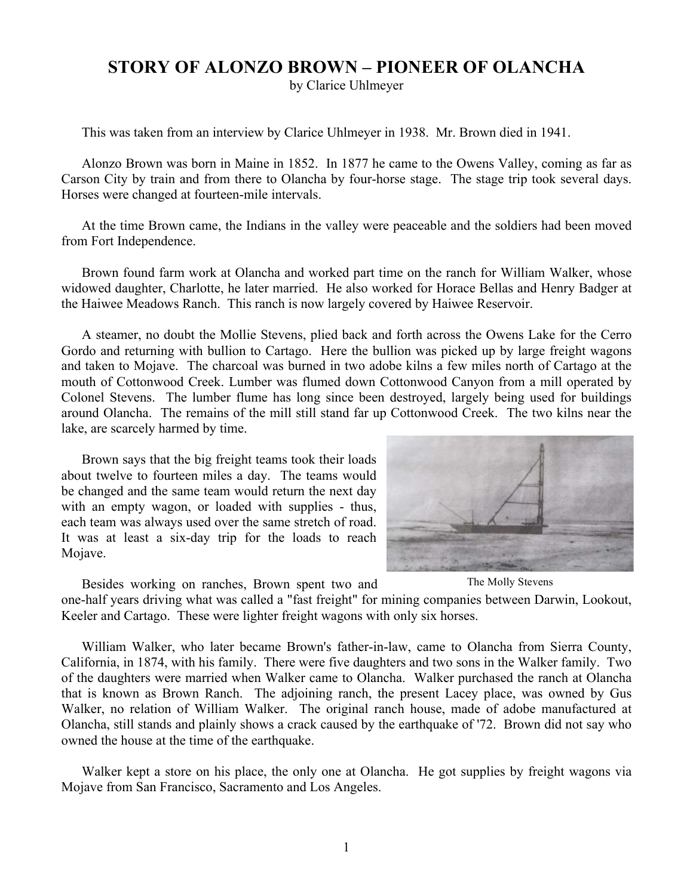## **STORY OF ALONZO BROWN – PIONEER OF OLANCHA**

by Clarice Uhlmeyer

This was taken from an interview by Clarice Uhlmeyer in 1938. Mr. Brown died in 1941.

Alonzo Brown was born in Maine in 1852. In 1877 he came to the Owens Valley, coming as far as Carson City by train and from there to Olancha by four-horse stage. The stage trip took several days. Horses were changed at fourteen-mile intervals.

At the time Brown came, the Indians in the valley were peaceable and the soldiers had been moved from Fort Independence.

Brown found farm work at Olancha and worked part time on the ranch for William Walker, whose widowed daughter, Charlotte, he later married. He also worked for Horace Bellas and Henry Badger at the Haiwee Meadows Ranch. This ranch is now largely covered by Haiwee Reservoir.

A steamer, no doubt the Mollie Stevens, plied back and forth across the Owens Lake for the Cerro Gordo and returning with bullion to Cartago. Here the bullion was picked up by large freight wagons and taken to Mojave. The charcoal was burned in two adobe kilns a few miles north of Cartago at the mouth of Cottonwood Creek. Lumber was flumed down Cottonwood Canyon from a mill operated by Colonel Stevens. The lumber flume has long since been destroyed, largely being used for buildings around Olancha. The remains of the mill still stand far up Cottonwood Creek. The two kilns near the lake, are scarcely harmed by time.

Brown says that the big freight teams took their loads about twelve to fourteen miles a day. The teams would be changed and the same team would return the next day with an empty wagon, or loaded with supplies - thus, each team was always used over the same stretch of road. It was at least a six-day trip for the loads to reach Mojave.



The Molly Stevens

Besides working on ranches, Brown spent two and one-half years driving what was called a "fast freight" for mining companies between Darwin, Lookout, Keeler and Cartago. These were lighter freight wagons with only six horses.

William Walker, who later became Brown's father-in-law, came to Olancha from Sierra County, California, in 1874, with his family. There were five daughters and two sons in the Walker family. Two of the daughters were married when Walker came to Olancha. Walker purchased the ranch at Olancha that is known as Brown Ranch. The adjoining ranch, the present Lacey place, was owned by Gus Walker, no relation of William Walker. The original ranch house, made of adobe manufactured at Olancha, still stands and plainly shows a crack caused by the earthquake of '72. Brown did not say who owned the house at the time of the earthquake.

Walker kept a store on his place, the only one at Olancha. He got supplies by freight wagons via Mojave from San Francisco, Sacramento and Los Angeles.